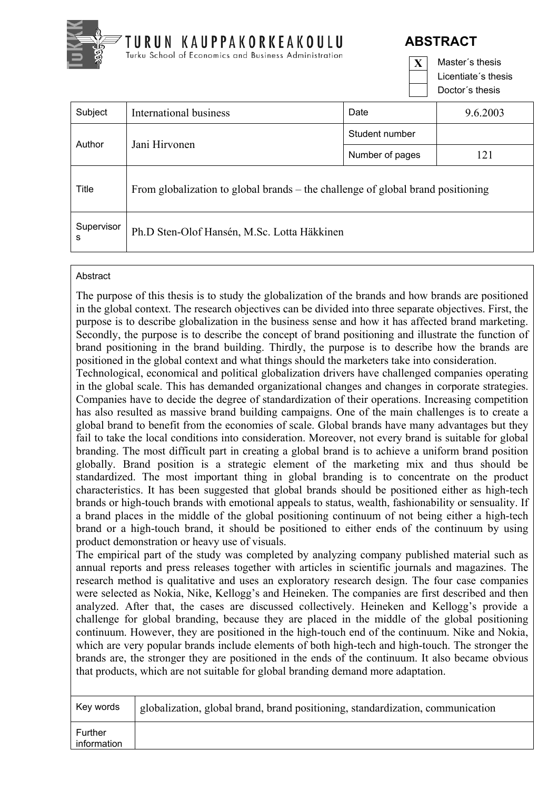

 Licentiate´s thesis Doctor´s thesis

| Subject         | International business                                                          | Date            | 9.6.2003 |
|-----------------|---------------------------------------------------------------------------------|-----------------|----------|
| Author          | Jani Hirvonen                                                                   | Student number  |          |
|                 |                                                                                 | Number of pages | 121      |
| Title           | From globalization to global brands – the challenge of global brand positioning |                 |          |
| Supervisor<br>s | Ph.D Sten-Olof Hansén, M.Sc. Lotta Häkkinen                                     |                 |          |

## **Abstract**

The purpose of this thesis is to study the globalization of the brands and how brands are positioned in the global context. The research objectives can be divided into three separate objectives. First, the purpose is to describe globalization in the business sense and how it has affected brand marketing. Secondly, the purpose is to describe the concept of brand positioning and illustrate the function of brand positioning in the brand building. Thirdly, the purpose is to describe how the brands are positioned in the global context and what things should the marketers take into consideration.

Technological, economical and political globalization drivers have challenged companies operating in the global scale. This has demanded organizational changes and changes in corporate strategies. Companies have to decide the degree of standardization of their operations. Increasing competition has also resulted as massive brand building campaigns. One of the main challenges is to create a global brand to benefit from the economies of scale. Global brands have many advantages but they fail to take the local conditions into consideration. Moreover, not every brand is suitable for global branding. The most difficult part in creating a global brand is to achieve a uniform brand position globally. Brand position is a strategic element of the marketing mix and thus should be standardized. The most important thing in global branding is to concentrate on the product characteristics. It has been suggested that global brands should be positioned either as high-tech brands or high-touch brands with emotional appeals to status, wealth, fashionability or sensuality. If a brand places in the middle of the global positioning continuum of not being either a high-tech brand or a high-touch brand, it should be positioned to either ends of the continuum by using product demonstration or heavy use of visuals.

The empirical part of the study was completed by analyzing company published material such as annual reports and press releases together with articles in scientific journals and magazines. The research method is qualitative and uses an exploratory research design. The four case companies were selected as Nokia, Nike, Kellogg's and Heineken. The companies are first described and then analyzed. After that, the cases are discussed collectively. Heineken and Kellogg's provide a challenge for global branding, because they are placed in the middle of the global positioning continuum. However, they are positioned in the high-touch end of the continuum. Nike and Nokia, which are very popular brands include elements of both high-tech and high-touch. The stronger the brands are, the stronger they are positioned in the ends of the continuum. It also became obvious that products, which are not suitable for global branding demand more adaptation.

| Key words              | globalization, global brand, brand positioning, standardization, communication |
|------------------------|--------------------------------------------------------------------------------|
| Further<br>information |                                                                                |